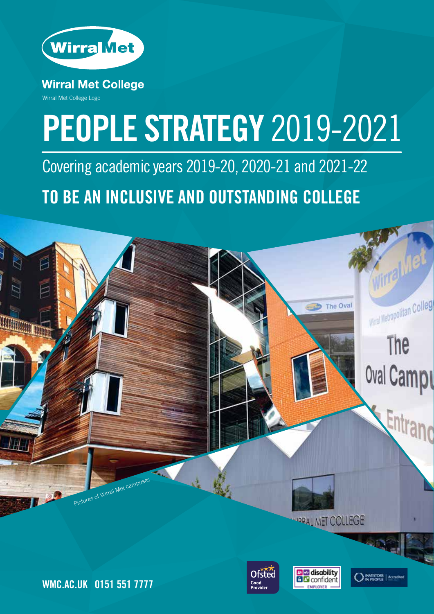

**Wirral Met College** Wirral Met College Logo

# **PEOPLE STRATEGY** 2019-2021

Covering academic years 2019-20, 2020-21 and 2021-22 **TO BE AN INCLUSIVE AND OUTSTANDING COLLEGE**



**WORAL MET COLLEGE** 



**D** a disability

**MESTORS** | Accre

**WMC.AC.UK 0151 551 7777**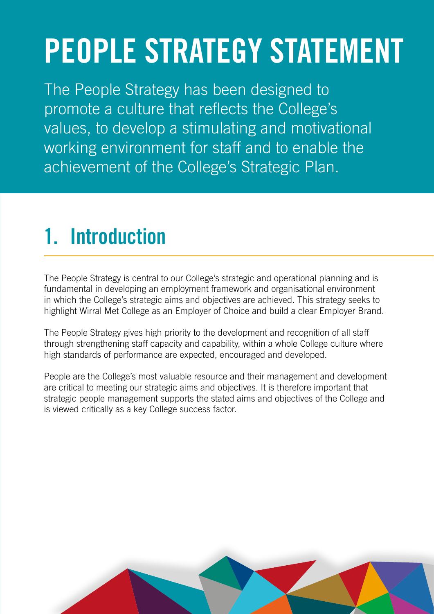# **PEOPLE STRATEGY STATEMENT**

The People Strategy has been designed to promote a culture that reflects the College's values, to develop a stimulating and motivational working environment for staff and to enable the achievement of the College's Strategic Plan.

### **1. Introduction**

The People Strategy is central to our College's strategic and operational planning and is fundamental in developing an employment framework and organisational environment in which the College's strategic aims and objectives are achieved. This strategy seeks to highlight Wirral Met College as an Employer of Choice and build a clear Employer Brand.

The People Strategy gives high priority to the development and recognition of all staff through strengthening staff capacity and capability, within a whole College culture where high standards of performance are expected, encouraged and developed.

People are the College's most valuable resource and their management and development are critical to meeting our strategic aims and objectives. It is therefore important that strategic people management supports the stated aims and objectives of the College and is viewed critically as a key College success factor.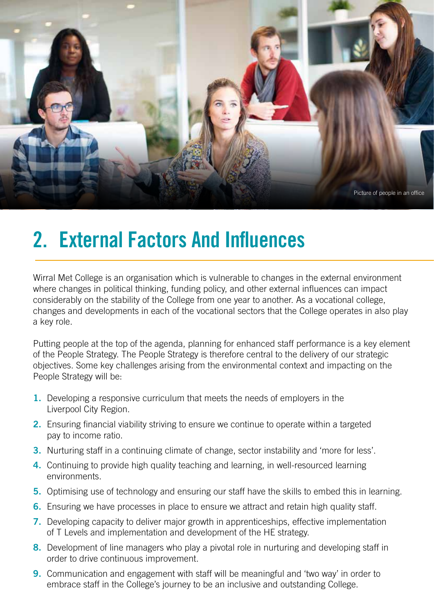

#### **2. External Factors And Influences**

Wirral Met College is an organisation which is vulnerable to changes in the external environment where changes in political thinking, funding policy, and other external influences can impact considerably on the stability of the College from one year to another. As a vocational college, changes and developments in each of the vocational sectors that the College operates in also play a key role.

Putting people at the top of the agenda, planning for enhanced staff performance is a key element of the People Strategy. The People Strategy is therefore central to the delivery of our strategic objectives. Some key challenges arising from the environmental context and impacting on the People Strategy will be:

- **1.** Developing a responsive curriculum that meets the needs of employers in the Liverpool City Region.
- **2.** Ensuring financial viability striving to ensure we continue to operate within a targeted pay to income ratio.
- **3.** Nurturing staff in a continuing climate of change, sector instability and 'more for less'.
- **4.** Continuing to provide high quality teaching and learning, in well-resourced learning environments.
- **5.** Optimising use of technology and ensuring our staff have the skills to embed this in learning.
- **6.** Ensuring we have processes in place to ensure we attract and retain high quality staff.
- **7.** Developing capacity to deliver major growth in apprenticeships, effective implementation of T Levels and implementation and development of the HE strategy.
- **8.** Development of line managers who play a pivotal role in nurturing and developing staff in order to drive continuous improvement.
- **9.** Communication and engagement with staff will be meaningful and 'two way' in order to embrace staff in the College's journey to be an inclusive and outstanding College.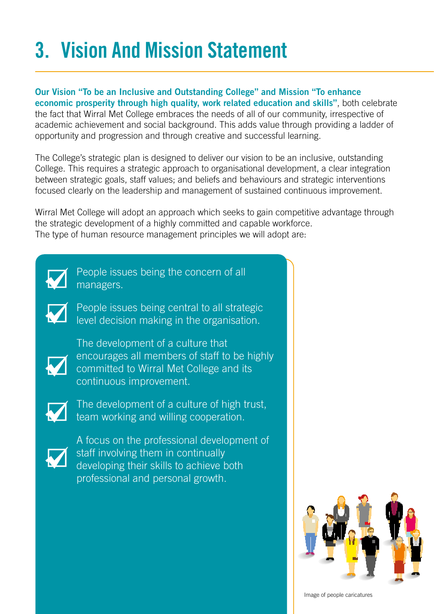## **3. Vision And Mission Statement**

**Our Vision "To be an Inclusive and Outstanding College" and Mission "To enhance economic prosperity through high quality, work related education and skills"**, both celebrate the fact that Wirral Met College embraces the needs of all of our community, irrespective of academic achievement and social background. This adds value through providing a ladder of opportunity and progression and through creative and successful learning.

The College's strategic plan is designed to deliver our vision to be an inclusive, outstanding College. This requires a strategic approach to organisational development, a clear integration between strategic goals, staff values; and beliefs and behaviours and strategic interventions focused clearly on the leadership and management of sustained continuous improvement.

Wirral Met College will adopt an approach which seeks to gain competitive advantage through the strategic development of a highly committed and capable workforce. The type of human resource management principles we will adopt are:



People issues being the concern of all managers.

People issues being central to all strategic level decision making in the organisation.



The development of a culture that encourages all members of staff to be highly committed to Wirral Met College and its continuous improvement.



The development of a culture of high trust, team working and willing cooperation.



A focus on the professional development of staff involving them in continually developing their skills to achieve both professional and personal growth.



Image of people caricatures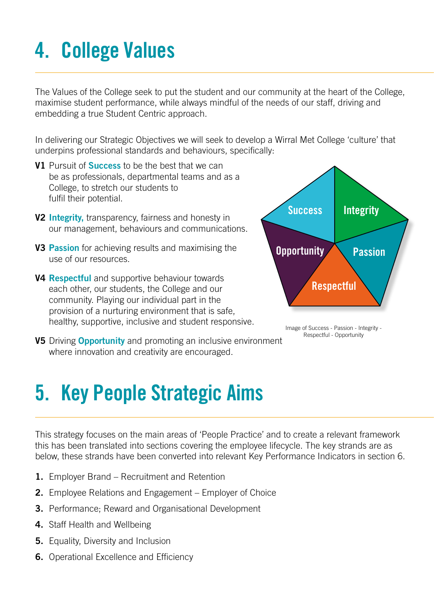### **4. College Values**

The Values of the College seek to put the student and our community at the heart of the College, maximise student performance, while always mindful of the needs of our staff, driving and embedding a true Student Centric approach.

In delivering our Strategic Objectives we will seek to develop a Wirral Met College 'culture' that underpins professional standards and behaviours, specifically:

- **V1** Pursuit of **Success** to be the best that we can be as professionals, departmental teams and as a College, to stretch our students to fulfil their potential.
- **V2 Integrity,** transparency, fairness and honesty in our management, behaviours and communications.
- **V3 Passion** for achieving results and maximising the use of our resources.
- **V4 Respectful** and supportive behaviour towards each other, our students, the College and our community. Playing our individual part in the provision of a nurturing environment that is safe, healthy, supportive, inclusive and student responsive.
- **V5** Driving **Opportunity** and promoting an inclusive environment where innovation and creativity are encouraged.



Image of Success - Passion - Integrity - Respectful - Opportunity

#### **5. Key People Strategic Aims**

This strategy focuses on the main areas of 'People Practice' and to create a relevant framework this has been translated into sections covering the employee lifecycle. The key strands are as below, these strands have been converted into relevant Key Performance Indicators in section 6.

- **1.** Employer Brand Recruitment and Retention
- **2.** Employee Relations and Engagement Employer of Choice
- **3.** Performance; Reward and Organisational Development
- **4.** Staff Health and Wellbeing
- **5.** Equality, Diversity and Inclusion
- **6.** Operational Excellence and Efficiency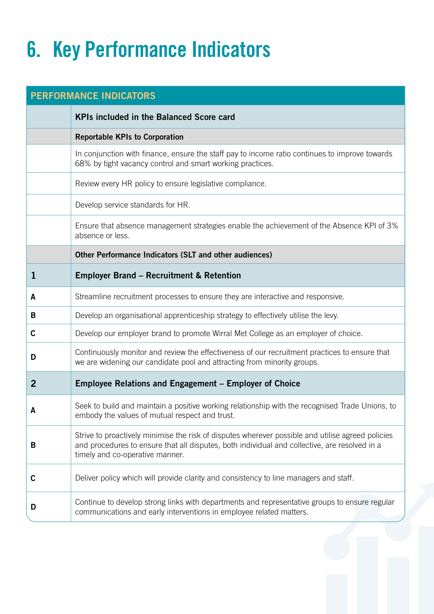### **6. Key Performance Indicators**

| <b>PERFORMANCE INDICATORS</b> |                                                                                                                                                                                                                                       |  |
|-------------------------------|---------------------------------------------------------------------------------------------------------------------------------------------------------------------------------------------------------------------------------------|--|
|                               | <b>KPIs included in the Balanced Score card</b>                                                                                                                                                                                       |  |
|                               | <b>Reportable KPIs to Corporation</b>                                                                                                                                                                                                 |  |
|                               | In conjunction with finance, ensure the staff pay to income ratio continues to improve towards<br>68% by tight vacancy control and smart working practices.                                                                           |  |
|                               | Review every HR policy to ensure legislative compliance.                                                                                                                                                                              |  |
|                               | Develop service standards for HR.                                                                                                                                                                                                     |  |
|                               | Ensure that absence management strategies enable the achievement of the Absence KPI of 3%<br>absence or less.                                                                                                                         |  |
|                               | Other Performance Indicators (SLT and other audiences)                                                                                                                                                                                |  |
| ı                             | <b>Employer Brand - Recruitment &amp; Retention</b>                                                                                                                                                                                   |  |
| A                             | Streamline recruitment processes to ensure they are interactive and responsive.                                                                                                                                                       |  |
| B                             | Develop an organisational apprenticeship strategy to effectively utilise the levy.                                                                                                                                                    |  |
| C                             | Develop our employer brand to promote Wirral Met College as an employer of choice.                                                                                                                                                    |  |
| D                             | Continuously monitor and review the effectiveness of our recruitment practices to ensure that<br>we are widening our candidate pool and attracting from minority groups.                                                              |  |
| $\overline{2}$                | <b>Employee Relations and Engagement - Employer of Choice</b>                                                                                                                                                                         |  |
|                               | Seek to build and maintain a positive working relationship with the recognised Trade Unions, to<br>embody the values of mutual respect and trust.                                                                                     |  |
| В                             | Strive to proactively minimise the risk of disputes wherever possible and utilise agreed policies<br>and procedures to ensure that all disputes, both individual and collective, are resolved in a<br>timely and co-operative manner. |  |
| $\mathbf c$                   | Deliver policy which will provide clarity and consistency to line managers and staff.                                                                                                                                                 |  |
| D                             | Continue to develop strong links with departments and representative groups to ensure regular<br>communications and early interventions in employee related matters.                                                                  |  |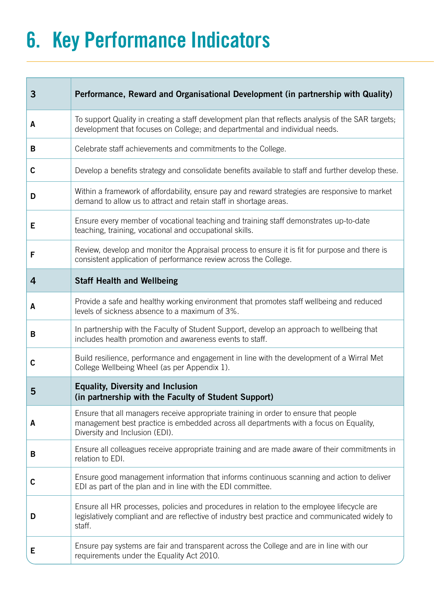### **6. Key Performance Indicators**

| 3           | Performance, Reward and Organisational Development (in partnership with Quality)                                                                                                                                |
|-------------|-----------------------------------------------------------------------------------------------------------------------------------------------------------------------------------------------------------------|
| A           | To support Quality in creating a staff development plan that reflects analysis of the SAR targets;<br>development that focuses on College; and departmental and individual needs.                               |
| B           | Celebrate staff achievements and commitments to the College.                                                                                                                                                    |
| $\mathbf c$ | Develop a benefits strategy and consolidate benefits available to staff and further develop these.                                                                                                              |
| D           | Within a framework of affordability, ensure pay and reward strategies are responsive to market<br>demand to allow us to attract and retain staff in shortage areas.                                             |
| E           | Ensure every member of vocational teaching and training staff demonstrates up-to-date<br>teaching, training, vocational and occupational skills.                                                                |
| F           | Review, develop and monitor the Appraisal process to ensure it is fit for purpose and there is<br>consistent application of performance review across the College.                                              |
| 4           | <b>Staff Health and Wellbeing</b>                                                                                                                                                                               |
| A           | Provide a safe and healthy working environment that promotes staff wellbeing and reduced<br>levels of sickness absence to a maximum of 3%.                                                                      |
| B           | In partnership with the Faculty of Student Support, develop an approach to wellbeing that<br>includes health promotion and awareness events to staff.                                                           |
| C           | Build resilience, performance and engagement in line with the development of a Wirral Met<br>College Wellbeing Wheel (as per Appendix 1).                                                                       |
| 5           | <b>Equality, Diversity and Inclusion</b><br>(in partnership with the Faculty of Student Support)                                                                                                                |
| A           | Ensure that all managers receive appropriate training in order to ensure that people<br>management best practice is embedded across all departments with a focus on Equality,<br>Diversity and Inclusion (EDI). |
| B           | Ensure all colleagues receive appropriate training and are made aware of their commitments in<br>relation to EDI.                                                                                               |
| C           | Ensure good management information that informs continuous scanning and action to deliver<br>EDI as part of the plan and in line with the EDI committee.                                                        |
| D           | Ensure all HR processes, policies and procedures in relation to the employee lifecycle are<br>legislatively compliant and are reflective of industry best practice and communicated widely to<br>staff.         |
| Е           | Ensure pay systems are fair and transparent across the College and are in line with our<br>requirements under the Equality Act 2010.                                                                            |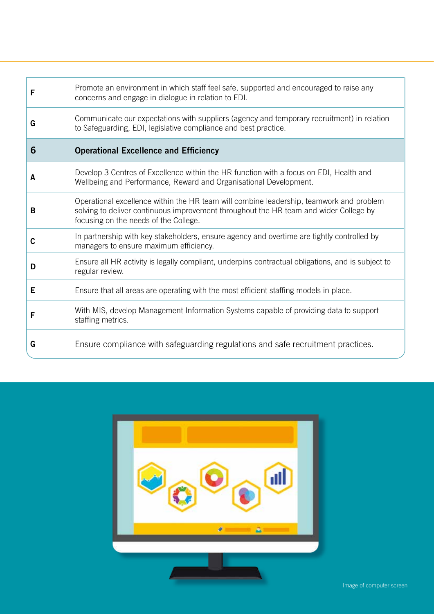| F | Promote an environment in which staff feel safe, supported and encouraged to raise any<br>concerns and engage in dialogue in relation to EDI.                                                                             |
|---|---------------------------------------------------------------------------------------------------------------------------------------------------------------------------------------------------------------------------|
| G | Communicate our expectations with suppliers (agency and temporary recruitment) in relation<br>to Safeguarding, EDI, legislative compliance and best practice.                                                             |
| 6 | <b>Operational Excellence and Efficiency</b>                                                                                                                                                                              |
| A | Develop 3 Centres of Excellence within the HR function with a focus on EDI, Health and<br>Wellbeing and Performance, Reward and Organisational Development.                                                               |
| B | Operational excellence within the HR team will combine leadership, teamwork and problem<br>solving to deliver continuous improvement throughout the HR team and wider College by<br>focusing on the needs of the College. |
| C | In partnership with key stakeholders, ensure agency and overtime are tightly controlled by<br>managers to ensure maximum efficiency.                                                                                      |
| D | Ensure all HR activity is legally compliant, underpins contractual obligations, and is subject to<br>regular review.                                                                                                      |
| Е | Ensure that all areas are operating with the most efficient staffing models in place.                                                                                                                                     |
| F | With MIS, develop Management Information Systems capable of providing data to support<br>staffing metrics.                                                                                                                |
| G | Ensure compliance with safeguarding regulations and safe recruitment practices.                                                                                                                                           |

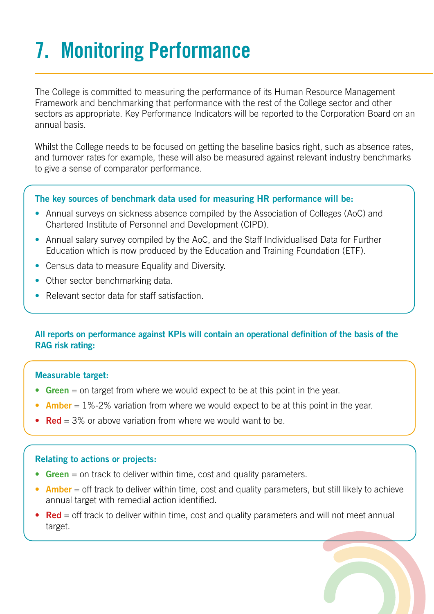## **7. Monitoring Performance**

The College is committed to measuring the performance of its Human Resource Management Framework and benchmarking that performance with the rest of the College sector and other sectors as appropriate. Key Performance Indicators will be reported to the Corporation Board on an annual basis.

Whilst the College needs to be focused on getting the baseline basics right, such as absence rates, and turnover rates for example, these will also be measured against relevant industry benchmarks to give a sense of comparator performance.

#### **The key sources of benchmark data used for measuring HR performance will be:**

- Annual surveys on sickness absence compiled by the Association of Colleges (AoC) and Chartered Institute of Personnel and Development (CIPD).
- Annual salary survey compiled by the AoC, and the Staff Individualised Data for Further Education which is now produced by the Education and Training Foundation (ETF).
- Census data to measure Equality and Diversity.
- Other sector benchmarking data.
- Relevant sector data for staff satisfaction.

#### **All reports on performance against KPIs will contain an operational definition of the basis of the RAG risk rating:**

#### **Measurable target:**

- **• Green** = on target from where we would expect to be at this point in the year.
- **Amber** = 1%-2% variation from where we would expect to be at this point in the year.
- **• Red** = 3% or above variation from where we would want to be.

#### **Relating to actions or projects:**

- **• Green** = on track to deliver within time, cost and quality parameters.
- **Amber** = off track to deliver within time, cost and quality parameters, but still likely to achieve annual target with remedial action identified.
- **Red** = off track to deliver within time, cost and quality parameters and will not meet annual target.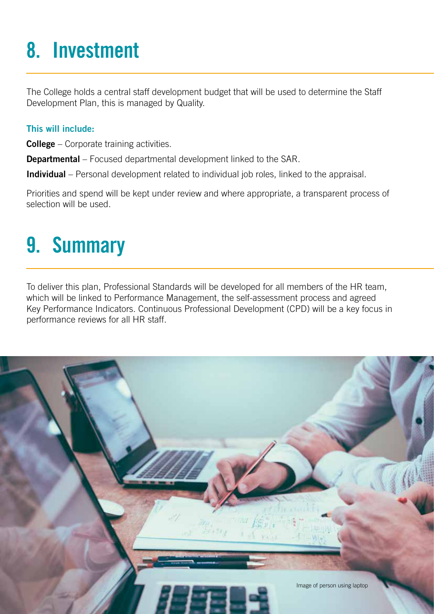### **8. Investment**

The College holds a central staff development budget that will be used to determine the Staff Development Plan, this is managed by Quality.

#### **This will include:**

**College** – Corporate training activities.

**Departmental** – Focused departmental development linked to the SAR.

**Individual** – Personal development related to individual job roles, linked to the appraisal.

Priorities and spend will be kept under review and where appropriate, a transparent process of selection will be used.

#### **9. Summary**

To deliver this plan, Professional Standards will be developed for all members of the HR team, which will be linked to Performance Management, the self-assessment process and agreed Key Performance Indicators. Continuous Professional Development (CPD) will be a key focus in performance reviews for all HR staff.